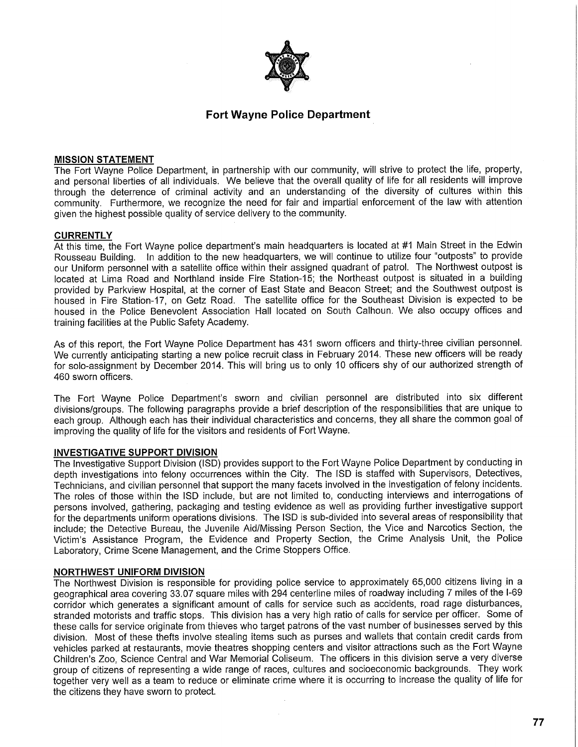

# **Fort Wayne Police Department**

### **MISSION STATEMENT**

The Fort Wayne Police Department, in partnership with our community, will strive to protect the life, property, and personal liberties of all individuals. We believe that the overall quality of life for all residents will improve through the deterrence of criminal activity and an understanding of the diversity of cultures within this community. Furthermore, we recognize the need for fair and impartial enforcement of the law with attention given the highest possible quality of service delivery to the community.

#### **CURRENTLY**

At this time, the Fort Wayne police department's main headquarters is located at #1 Main Street in the Edwin Rousseau Building. In addition to the new headquarters, we will continue to utilize four "outposts" to provide our Uniform personnel with a satellite office within their assigned quadrant of patrol. The Northwest outpost is located at Lima Road and Northland inside Fire Station-15; the Northeast outpost is situated in a building provided by Parkview Hospital, at the corner of East State and Beacon Street; and the Southwest outpost is housed in Fire Station-17, on Getz Road. The satellite office for the Southeast Division is expected to be housed in the Police Benevolent Association Hall located on South Calhoun. We also occupy offices and training facilities at the Public Safety Academy.

As of this report, the Fort Wayne Police Department has 431 sworn officers and thirty-three civilian personnel. We currently anticipating starting a new police recruit class in February 2014. These new officers will be ready for solo-assignment by December 2014. This will bring us to only 10 officers shy of our authorized strength of 460 sworn officers.

The Fort Wayne Police Department's sworn and civilian personnel are distributed into six different divisions/groups. The following paragraphs provide a brief description of the responsibilities that are unique to each group. Although each has their individual characteristics and concerns, they all share the common goal of improving the quality of life for the visitors and residents of Fort Wayne.

### **INVESTIGATIVE SUPPORT DIVISION**

The Investigative Support Division (ISD) provides support to the Fort Wayne Police Department by conducting in depth investigations into felony occurrences within the City. The ISD is staffed with Supervisors, Detectives, Technicians, and civilian personnel that support the many facets involved in the investigation of felony incidents. The roles of those within the ISD include, but are not limited to, conducting interviews and interrogations of persons involved, gathering, packaging and testing evidence as well as providing further investigative support for the departments uniform operations divisions. The ISD is sub-divided into several areas of responsibility that include; the Detective Bureau, the Juvenile Aid/Missing Person Section, the Vice and Narcotics Section, the Victim's Assistance Program, the Evidence and Property Section, the Crime Analysis Unit, the Police Laboratory, Crime Scene Management, and the Crime Stoppers Office.

#### **NORTHWEST UNIFORM DIVISION**

The Northwest Division is responsible for providing police service to approximately 65,000 citizens living in a geographical area covering 33.07 square miles with 294 centerline miles of roadway including 7 miles of the I-69 corridor which generates a significant amount of calls for service such as accidents, road rage disturbances, stranded motorists and traffic stops. This division has a very high ratio of calls for service per officer. Some of these calls for service originate from thieves who target patrons of the vast number of businesses served by this division. Most of these thefts involve stealing items such as purses and wallets that contain credit cards from vehicles parked at restaurants, movie theatres shopping centers and visitor attractions such as the Fort Wayne Children's Zoo, Science Central and War Memorial Coliseum. The officers in this division serve a very diverse group of citizens of representing a wide range of races, cultures and socioeconomic backgrounds. They work together very well as a team to reduce or eliminate crime where it is occurring to increase the quality of life for the citizens they have sworn to protect.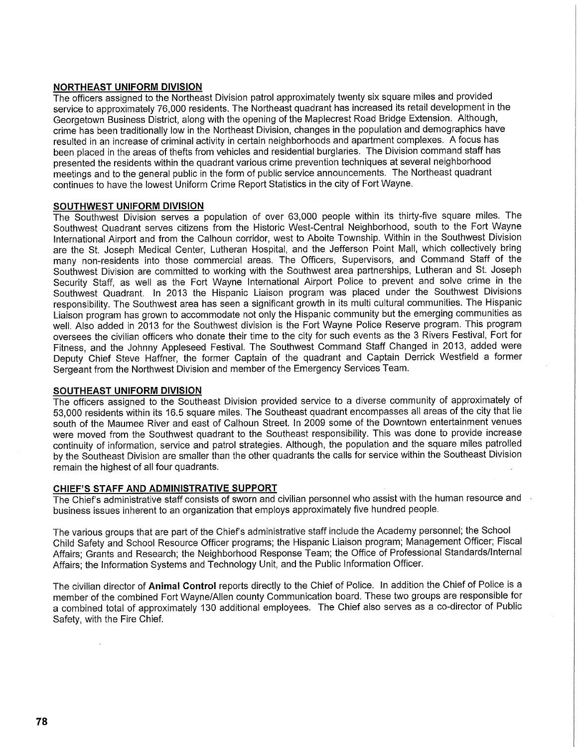# **NORTHEAST UNIFORM DIVISION**

The officers assigned to the Northeast Division patrol approximately twenty six square miles and provided service to approximately 76,000 residents. The Northeast quadrant has increased its retail development in the Georgetown Business District, along with the opening of the Maplecrest Road Bridge Extension. Although, crime has been traditionally low in the Northeast Division, changes in the population and demographics have resulted in an increase of criminal activity in certain neighborhoods and apartment complexes. A focus has been placed in the areas of thefts from vehicles and residential burglaries. The Division command staff has presented the residents within the quadrant various crime prevention techniques at several neighborhood meetings and to the general public in the form of public service announcements. The Northeast quadrant continues to have the lowest Uniform Crime Report Statistics in the city of Fort Wayne.

# **SOUTHWEST UNIFORM DIVISION**

The Southwest Division serves a population of over 63,000 people within its thirty-five square miles. The Southwest Quadrant serves citizens from the Historic West-Central Neighborhood, south to the Fort Wayne International Airport and from the Calhoun corridor, west to Aboite Township. Within in the Southwest Division are the St. Joseph Medical Center, Lutheran Hospital, and the Jefferson Point Mall, which collectively bring many non-residents into those commercial areas. The Officers, Supervisors, and Command Staff of the Southwest Division are committed to working with the Southwest area partnerships, Lutheran and St. Joseph Security Staff, as well as the Fort Wayne International Airport Police to prevent and solve crime in the Southwest Quadrant. In 2013 the Hispanic Liaison program was placed under the Southwest Divisions responsibility. The Southwest area has seen a significant growth in its multi cultural communities. The Hispanic Liaison program has grown to accommodate not only the Hispanic community but the emerging communities as well. Also added in 2013 for the Southwest division is the Fort Wayne Police Reserve program. This program oversees the civilian officers who donate their time to the city for such events as the 3 Rivers Festival, Fort for Fitness, and the Johnny Appleseed Festival. The Southwest Command Staff Changed in 2013, added were Deputy Chief Steve Haffner, the former Captain of the quadrant and Captain Derrick Westfield a former Sergeant from the Northwest Division and member of the Emergency Services Team.

# **SOUTHEAST UNIFORM DIVISION**

The officers assigned to the Southeast Division provided service to a diverse community of approximately of 53,000 residents within its 16.5 square miles. The Southeast quadrant encompasses all areas of the city that lie south of the Maumee River and east of Calhoun Street. In 2009 some of the Downtown entertainment venues were moved from the Southwest quadrant to the Southeast responsibility. This was done to provide increase continuity of information, service and patrol strategies. Although, the population and the square miles patrolled by the Southeast Division are smaller than the other quadrants the calls for service within the Southeast Division remain the highest of all four quadrants.

# **CHIEF'S STAFF AND ADMINISTRATIVE SUPPORT**

The Chief's administrative staff consists of sworn and civilian personnel who assist with the human resource and business issues inherent to an organization that employs approximately five hundred people.

The various groups that are part of the Chief's administrative staff include the Academy personnel; the School Child Safety and School Resource Officer programs; the Hispanic Liaison program; Management Officer; Fiscal Affairs; Grants and Research; the Neighborhood Response Team; the Office of Professional Standards/Internal Affairs; the Information Systems and Technology Unit, and the Public Information Officer.

The civilian director of **Animal Control** reports directly to the Chief of Police. In addition the Chief of Police is a member of the combined Fort Wayne/Allen county Communication board. These two groups are responsible for a combined total of approximately 130 additional employees. The Chief also serves as a co-director of Public Safety, with the Fire Chief.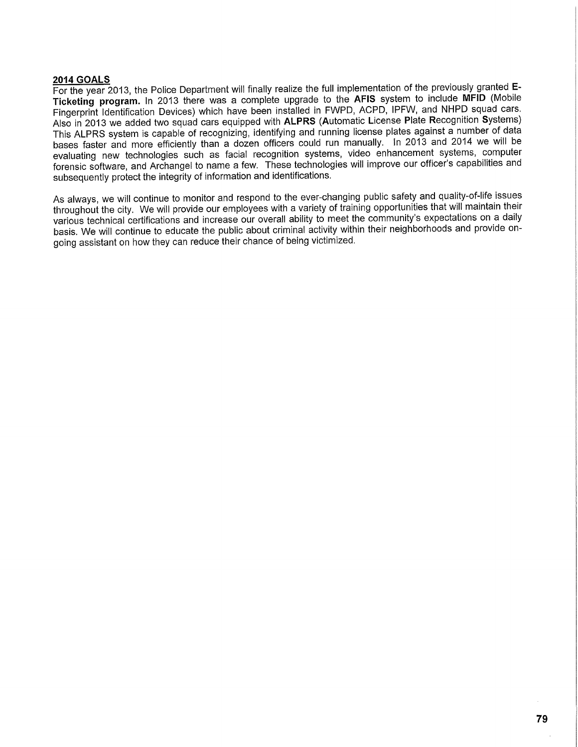# **2014 GOALS**

For the year 2013, the Police Department will finally realize the full implementation of the previously granted E-**Ticketing program.** In 2013 there was a complete upgrade to the **AFIS** system to include **MFID** (Mobile Fingerprint Identification Devices) which have been installed in FWPD, ACPD, IPFW, and NHPD squad cars. Also in 2013 we added two squad cars equipped with ALPRS (Automatic License Plate Recognition Systems) This ALPRS system is capable of recognizing, identifying and running license plates against a number of data bases faster and more efficiently than a dozen officers could run manually. In 2013 and 2014 we will be evaluating new technologies such as facial recognition systems, video enhancement systems, computer forensic software, and Archangel to name a few. These technologies will improve our officer's capabilities and subsequently protect the integrity of information and identifications.

As always, we will continue to monitor and respond to the ever-changing public safety and quality-of-life issues throughout the city. We will provide our employees with a variety of training opportunities that will maintain their various technical certifications and increase our overall ability to meet the community's expectations on a daily basis. We will continue to educate the public about criminal activity within their neighborhoods and provide ongoing assistant on how they can reduce their chance of being victimized.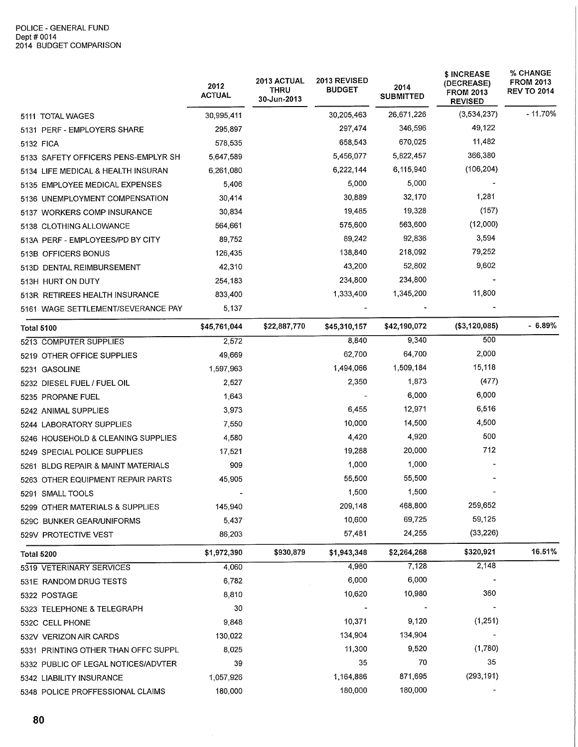|                                     | 2012<br><b>ACTUAL</b> | 2013 ACTUAL<br>THRU<br>30-Jun-2013 | <b>2013 REVISED</b><br><b>BUDGET</b> | 2014<br><b>SUBMITTED</b> | \$ INCREASE<br>(DECREASE)<br><b>FROM 2013</b><br><b>REVISED</b> | % CHANGE<br><b>FROM 2013</b><br><b>REV TO 2014</b> |
|-------------------------------------|-----------------------|------------------------------------|--------------------------------------|--------------------------|-----------------------------------------------------------------|----------------------------------------------------|
| 5111 TOTAL WAGES                    | 30,995,411            |                                    | 30,205,463                           | 26,671,226               | (3,534,237)                                                     | $-11.70%$                                          |
| 5131 PERF - EMPLOYERS SHARE         | 295,897               |                                    | 297,474                              | 346,596                  | 49,122                                                          |                                                    |
| 5132 FICA                           | 578,535               |                                    | 658,543                              | 670,025                  | 11,482                                                          |                                                    |
| 5133 SAFETY OFFICERS PENS-EMPLYR SH | 5,647,589             |                                    | 5,456,077                            | 5,822,457                | 366,380                                                         |                                                    |
| 5134 LIFE MEDICAL & HEALTH INSURAN  | 6,261,080             |                                    | 6,222,144                            | 6,115,940                | (106, 204)                                                      |                                                    |
| 5135 EMPLOYEE MEDICAL EXPENSES      | 5,406                 |                                    | 5,000                                | 5,000                    |                                                                 |                                                    |
| 5136 UNEMPLOYMENT COMPENSATION      | 30,414                |                                    | 30,889                               | 32,170                   | 1,281                                                           |                                                    |
| 5137 WORKERS COMP INSURANCE         | 30,834                |                                    | 19,485                               | 19,328                   | (157)                                                           |                                                    |
| 5138 CLOTHING ALLOWANCE             | 564,661               |                                    | 575,600                              | 563,600                  | (12,000)                                                        |                                                    |
| 513A PERF - EMPLOYEES/PD BY CITY    | 89,752                |                                    | 89,242                               | 92,836                   | 3,594                                                           |                                                    |
| 513B OFFICERS BONUS                 | 126,435               |                                    | 138,840                              | 218,092                  | 79,252                                                          |                                                    |
| 513D DENTAL REIMBURSEMENT           | 42,310                |                                    | 43,200                               | 52,802                   | 9,602                                                           |                                                    |
| 513H HURT ON DUTY                   | 254,183               |                                    | 234,800                              | 234,800                  |                                                                 |                                                    |
| 513R RETIREES HEALTH INSURANCE      | 833,400               |                                    | 1,333,400                            | 1,345,200                | 11,800                                                          |                                                    |
| 5161 WAGE SETTLEMENT/SEVERANCE PAY  | 5,137                 |                                    |                                      |                          |                                                                 |                                                    |
| Total 5100                          | \$45,761,044          | \$22,887,770                       | \$45,310,157                         | \$42,190,072             | (\$3,120,085)                                                   | $-6.89%$                                           |
| 5213 COMPUTER SUPPLIES              | 2,572                 |                                    | 8,840                                | 9,340                    | 500                                                             |                                                    |
| 5219 OTHER OFFICE SUPPLIES          | 49,669                |                                    | 62,700                               | 64,700                   | 2,000                                                           |                                                    |
| 5231 GASOLINE                       | 1,597,963             |                                    | 1,494,066                            | 1,509,184                | 15,118                                                          |                                                    |
| 5232 DIESEL FUEL / FUEL OIL         | 2,527                 |                                    | 2,350                                | 1,873                    | (477)                                                           |                                                    |
| 5235 PROPANE FUEL                   | 1,643                 |                                    |                                      | 6,000                    | 6,000                                                           |                                                    |
| 5242 ANIMAL SUPPLIES                | 3,973                 |                                    | 6,455                                | 12,971                   | 6,516                                                           |                                                    |
| 5244 LABORATORY SUPPLIES            | 7,550                 |                                    | 10,000                               | 14,500                   | 4,500                                                           |                                                    |
| 5246 HOUSEHOLD & CLEANING SUPPLIES  | 4,580                 |                                    | 4,420                                | 4,920                    | 500                                                             |                                                    |
| 5249 SPECIAL POLICE SUPPLIES        | 17,521                |                                    | 19,288                               | 20,000                   | 712                                                             |                                                    |
| 5261 BLDG REPAIR & MAINT MATERIALS  | 909                   |                                    | 1,000                                | 1,000                    |                                                                 |                                                    |
| 5263 OTHER EQUIPMENT REPAIR PARTS   | 45,905                |                                    | 55,500                               | 55,500                   |                                                                 |                                                    |
| 5291 SMALL TOOLS                    |                       |                                    | 1,500                                | 1,500                    |                                                                 |                                                    |
| 5299 OTHER MATERIALS & SUPPLIES     | 145,940               |                                    | 209,148                              | 468,800                  | 259,652                                                         |                                                    |
| 529C BUNKER GEAR/UNIFORMS           | 5,437                 |                                    | 10,600                               | 69,725                   | 59,125                                                          |                                                    |
| 529V PROTECTIVE VEST                | 86,203                |                                    | 57,481                               | 24,255                   | (33, 226)                                                       |                                                    |
| <b>Total 5200</b>                   | \$1,972,390           | \$930,879                          | \$1,943,348                          | \$2,264,268              | \$320,921                                                       | 16.51%                                             |
| 5319 VETERINARY SERVICES            | 4,060                 |                                    | 4,980                                | 7,128                    | 2,148                                                           |                                                    |
| 531E RANDOM DRUG TESTS              | 6,782                 |                                    | 6,000                                | 6,000                    |                                                                 |                                                    |
| 5322 POSTAGE                        | 8,810                 |                                    | 10,620                               | 10,980                   | 360                                                             |                                                    |
| 5323 TELEPHONE & TELEGRAPH          | 30                    |                                    |                                      |                          |                                                                 |                                                    |
| 532C CELL PHONE                     | 9,848                 |                                    | 10,371                               | 9,120                    | (1,251)                                                         |                                                    |
| 532V VERIZON AIR CARDS              | 130,022               |                                    | 134,904                              | 134,904                  |                                                                 |                                                    |
| 5331 PRINTING OTHER THAN OFFC SUPPL | 8,025                 |                                    | 11,300                               | 9,520                    | (1,780)                                                         |                                                    |
| 5332 PUBLIC OF LEGAL NOTICES/ADVTER | 39                    |                                    | 35                                   | 70                       | 35                                                              |                                                    |
| 5342 LIABILITY INSURANCE            | 1,057,926             |                                    | 1,164,886                            | 871,695                  | (293, 191)                                                      |                                                    |
| 5348 POLICE PROFFESSIONAL CLAIMS    | 180,000               |                                    | 180,000                              | 180,000                  |                                                                 |                                                    |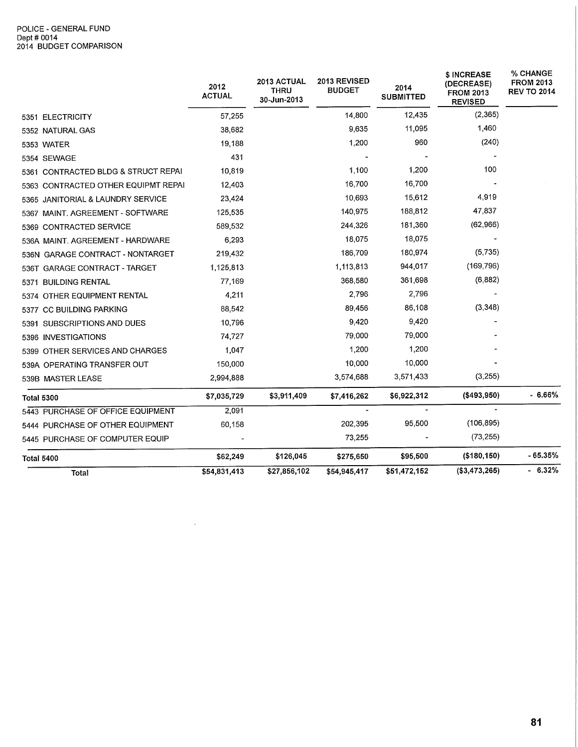#### POLICE - GENERAL FUND Dept #0014 2014 BUDGET COMPARISON

|                                     | 2012<br><b>ACTUAL</b> | <b>2013 ACTUAL</b><br>THRU<br>30-Jun-2013 | 2013 REVISED<br><b>BUDGET</b> | 2014<br><b>SUBMITTED</b> | \$ INCREASE<br>(DECREASE)<br><b>FROM 2013</b><br><b>REVISED</b> | % CHANGE<br><b>FROM 2013</b><br><b>REV TO 2014</b> |
|-------------------------------------|-----------------------|-------------------------------------------|-------------------------------|--------------------------|-----------------------------------------------------------------|----------------------------------------------------|
| 5351 ELECTRICITY                    | 57,255                |                                           | 14,800                        | 12,435                   | (2,365)                                                         |                                                    |
| 5352 NATURAL GAS                    | 38,682                |                                           | 9,635                         | 11,095                   | 1,460                                                           |                                                    |
| <b>5353 WATER</b>                   | 19,188                |                                           | 1,200                         | 960                      | (240)                                                           |                                                    |
| 5354 SEWAGE                         | 431                   |                                           |                               |                          |                                                                 |                                                    |
| 5361 CONTRACTED BLDG & STRUCT REPAI | 10,819                |                                           | 1,100                         | 1,200                    | 100                                                             |                                                    |
| 5363 CONTRACTED OTHER EQUIPMT REPAI | 12,403                |                                           | 16,700                        | 16,700                   |                                                                 |                                                    |
| 5365 JANITORIAL & LAUNDRY SERVICE   | 23,424                |                                           | 10,693                        | 15,612                   | 4,919                                                           |                                                    |
| 5367 MAINT. AGREEMENT - SOFTWARE    | 125,535               |                                           | 140,975                       | 188,812                  | 47,837                                                          |                                                    |
| 5369 CONTRACTED SERVICE             | 589,532               |                                           | 244,326                       | 181,360                  | (62,966)                                                        |                                                    |
| 536A MAINT, AGREEMENT - HARDWARE    | 6.293                 |                                           | 18,075                        | 18,075                   |                                                                 |                                                    |
| 536N GARAGE CONTRACT - NONTARGET    | 219,432               |                                           | 186,709                       | 180,974                  | (5, 735)                                                        |                                                    |
| 536T GARAGE CONTRACT - TARGET       | 1,125,813             |                                           | 1,113,813                     | 944,017                  | (169, 796)                                                      |                                                    |
| 5371 BUILDING RENTAL                | 77,169                |                                           | 368,580                       | 361,698                  | (6, 882)                                                        |                                                    |
| 5374 OTHER EQUIPMENT RENTAL         | 4,211                 |                                           | 2,796                         | 2,796                    |                                                                 |                                                    |
| 5377 CC BUILDING PARKING            | 88,542                |                                           | 89,456                        | 86,108                   | (3, 348)                                                        |                                                    |
| 5391 SUBSCRIPTIONS AND DUES         | 10,796                |                                           | 9,420                         | 9,420                    |                                                                 |                                                    |
| 5396 INVESTIGATIONS                 | 74,727                |                                           | 79,000                        | 79,000                   |                                                                 |                                                    |
| 5399 OTHER SERVICES AND CHARGES     | 1.047                 |                                           | 1,200                         | 1,200                    |                                                                 |                                                    |
| 539A OPERATING TRANSFER OUT         | 150,000               |                                           | 10,000                        | 10,000                   |                                                                 |                                                    |
| 539B MASTER LEASE                   | 2,994,888             |                                           | 3,574,688                     | 3,571,433                | (3,255)                                                         |                                                    |
| <b>Total 5300</b>                   | \$7,035,729           | \$3,911,409                               | \$7,416,262                   | \$6,922,312              | (\$493,950)                                                     | $-6.66%$                                           |
| 5443 PURCHASE OF OFFICE EQUIPMENT   | 2,091                 |                                           |                               |                          |                                                                 |                                                    |
| 5444 PURCHASE OF OTHER EQUIPMENT    | 60,158                |                                           | 202,395                       | 95,500                   | (106, 895)                                                      |                                                    |
| 5445 PURCHASE OF COMPUTER EQUIP     |                       |                                           | 73,255                        |                          | (73, 255)                                                       |                                                    |
| Total 5400                          | \$62,249              | \$126,045                                 | \$275,650                     | \$95,500                 | $($ \$180,150)                                                  | $-65.35%$                                          |
| Total                               | \$54,831,413          | \$27,856,102                              | \$54,945,417                  | \$51,472,152             | (\$3,473,265)                                                   | $-6.32%$                                           |

 $\mathcal{A}^{\mathcal{A}}$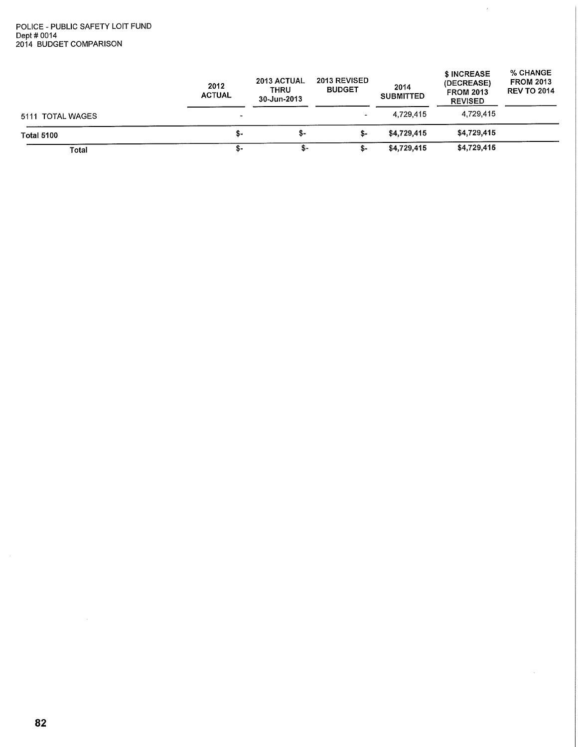#### POLICE - PUBLIC SAFETY LOIT FUND Dept #0014 2014 BUDGET COMPARISON

|                   | 2012<br><b>ACTUAL</b> | 2013 ACTUAL<br><b>THRU</b><br>30-Jun-2013 | <b>2013 REVISED</b><br><b>BUDGET</b> | 2014<br><b>SUBMITTED</b> | \$ INCREASE<br>(DECREASE)<br><b>FROM 2013</b><br><b>REVISED</b> | % CHANGE<br><b>FROM 2013</b><br><b>REV TO 2014</b> |
|-------------------|-----------------------|-------------------------------------------|--------------------------------------|--------------------------|-----------------------------------------------------------------|----------------------------------------------------|
| 5111 TOTAL WAGES  | $\sim$                |                                           | $\tilde{\phantom{a}}$                | 4,729,415                | 4,729,415                                                       |                                                    |
| <b>Total 5100</b> | - S                   | \$-                                       | \$-                                  | \$4,729,415              | \$4,729,415                                                     |                                                    |
| Total             | \$-                   | S-                                        | \$-                                  | \$4,729,415              | \$4,729,415                                                     |                                                    |

 $\hat{J}$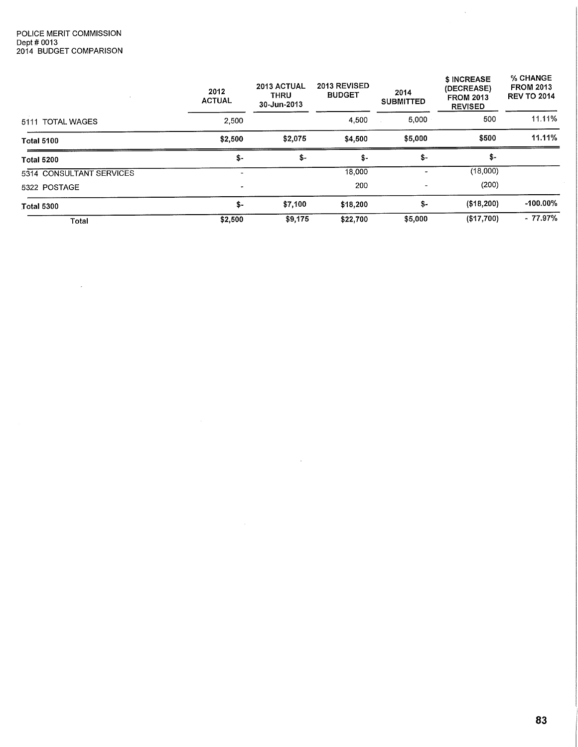$\sim$   $\sim$ 

|                            | 2012<br><b>ACTUAL</b> | 2013 ACTUAL<br><b>THRU</b><br>30-Jun-2013 | 2013 REVISED<br><b>BUDGET</b> | 2014<br><b>SUBMITTED</b> | \$ INCREASE<br>(DECREASE)<br><b>FROM 2013</b><br><b>REVISED</b> | % CHANGE<br><b>FROM 2013</b><br><b>REV TO 2014</b> |
|----------------------------|-----------------------|-------------------------------------------|-------------------------------|--------------------------|-----------------------------------------------------------------|----------------------------------------------------|
| <b>TOTAL WAGES</b><br>5111 | 2,500                 |                                           | 4,500                         | 5,000                    | 500                                                             | 11.11%                                             |
| <b>Total 5100</b>          | \$2,500               | \$2,075                                   | \$4,500                       | \$5,000                  | \$500                                                           | 11.11%                                             |
| <b>Total 5200</b>          | \$-                   | \$-                                       | \$-                           | \$-                      | \$-                                                             |                                                    |
| 5314 CONSULTANT SERVICES   | -                     |                                           | 18,000                        | ٠                        | (18,000)                                                        |                                                    |
| 5322 POSTAGE               | -                     |                                           | 200                           | $\overline{\phantom{a}}$ | (200)                                                           |                                                    |
| <b>Total 5300</b>          | \$-                   | \$7,100                                   | \$18,200                      | \$-                      | (\$18,200)                                                      | $-100.00\%$                                        |
| Total                      | \$2,500               | \$9,175                                   | \$22,700                      | \$5,000                  | (\$17,700)                                                      | $-77.97%$                                          |

 $\sim 30\%$ 

 $\sim$ 

 $\sim$